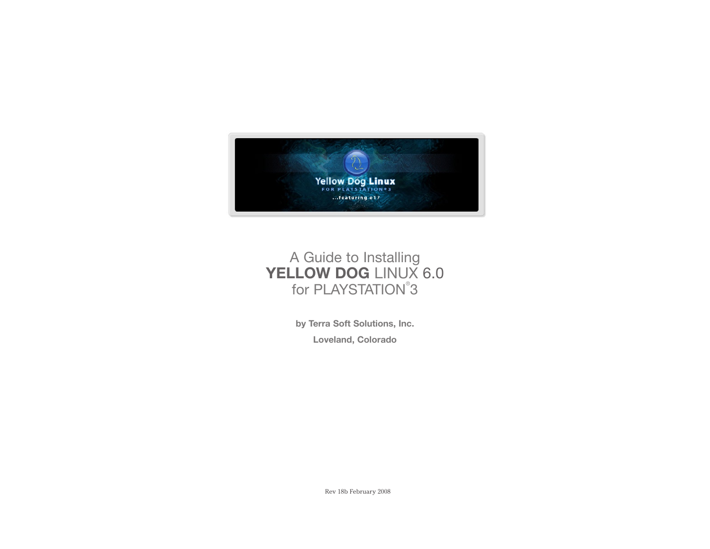

# A Guide to Installing YELLOW DOG LINUX 6.0 for PLAYSTATION<sup>®</sup>3

**by Terra Soft Solutions, Inc. Loveland, Colorado**

Rev 18b February 2008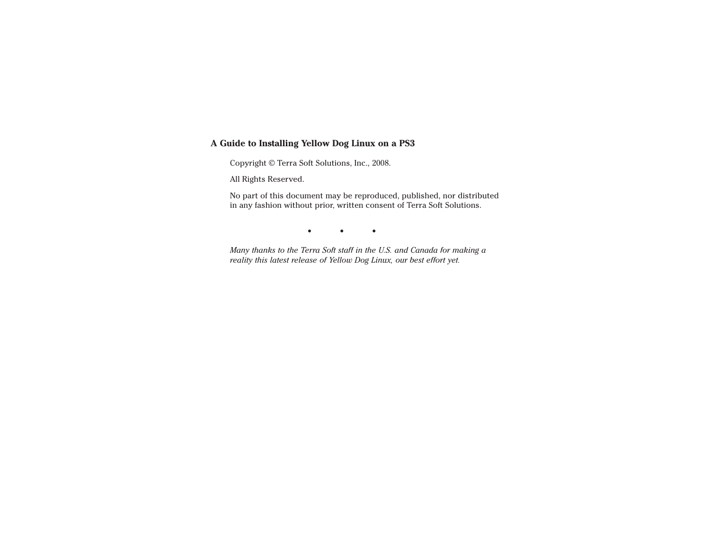#### **A Guide to Installing Yellow Dog Linux on a PS3**

Copyright © Terra Soft Solutions, Inc., 2008.

All Rights Reserved.

 No part of this document may be reproduced, published, nor distributed in any fashion without prior, written consent of Terra Soft Solutions.

• • •

*Many thanks to the Terra Soft staff in the U.S. and Canada for making a reality this latest release of Yellow Dog Linux, our best effort yet.*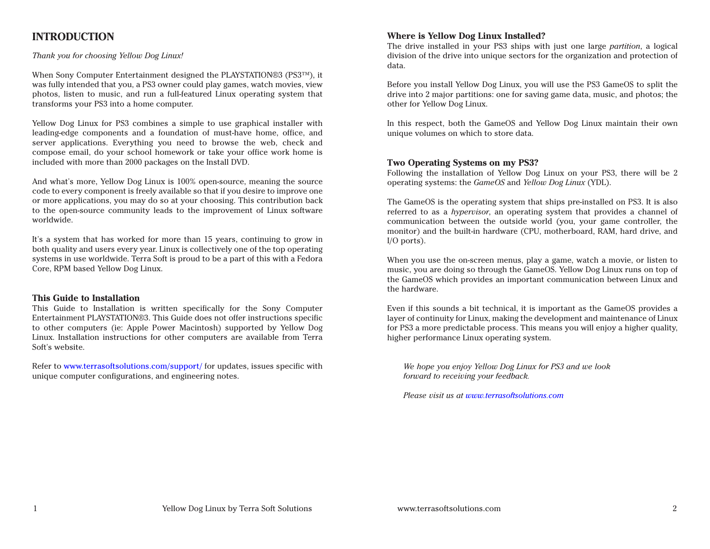# **INTRODUCTION**

#### *Thank you for choosing Yellow Dog Linux!*

When Sony Computer Entertainment designed the PLAYSTATION®3 (PS3™), it was fully intended that you, a PS3 owner could play games, watch movies, view photos, listen to music, and run a full-featured Linux operating system that transforms your PS3 into a home computer.

Yellow Dog Linux for PS3 combines a simple to use graphical installer with leading-edge components and a foundation of must-have home, office, and server applications. Everything you need to browse the web, check and compose email, do your school homework or take your office work home is included with more than 2000 packages on the Install DVD.

And what's more, Yellow Dog Linux is 100% open-source, meaning the source code to every component is freely available so that if you desire to improve one or more applications, you may do so at your choosing. This contribution back to the open-source community leads to the improvement of Linux software worldwide.

It's a system that has worked for more than 15 years, continuing to grow in both quality and users every year. Linux is collectively one of the top operating systems in use worldwide. Terra Soft is proud to be a part of this with a Fedora Core, RPM based Yellow Dog Linux.

#### **This Guide to Installation**

This Guide to Installation is written specifically for the Sony Computer Entertainment PLAYSTATION®3. This Guide does not offer instructions specific to other computers (ie: Apple Power Macintosh) supported by Yellow Dog Linux. Installation instructions for other computers are available from Terra Soft's website.

Refer to www.terrasoftsolutions.com/support/ for updates, issues specific with unique computer configurations, and engineering notes.

#### **Where is Yellow Dog Linux Installed?**

The drive installed in your PS3 ships with just one large *partition*, a logical division of the drive into unique sectors for the organization and protection of data.

Before you install Yellow Dog Linux, you will use the PS3 GameOS to split the drive into 2 major partitions: one for saving game data, music, and photos; the other for Yellow Dog Linux.

In this respect, both the GameOS and Yellow Dog Linux maintain their own unique volumes on which to store data.

#### **Two Operating Systems on my PS3?**

Following the installation of Yellow Dog Linux on your PS3, there will be 2 operating systems: the *GameOS* and *Yellow Dog Linux* (YDL).

The GameOS is the operating system that ships pre-installed on PS3. It is also referred to as a *hypervisor*, an operating system that provides a channel of communication between the outside world (you, your game controller, the monitor) and the built-in hardware (CPU, motherboard, RAM, hard drive, and I/O ports).

When you use the on-screen menus, play a game, watch a movie, or listen to music, you are doing so through the GameOS. Yellow Dog Linux runs on top of the GameOS which provides an important communication between Linux and the hardware.

Even if this sounds a bit technical, it is important as the GameOS provides a layer of continuity for Linux, making the development and maintenance of Linux for PS3 a more predictable process. This means you will enjoy a higher quality, higher performance Linux operating system.

*We hope you enjoy Yellow Dog Linux for PS3 and we look forward to receiving your feedback.*

 *Please visit us at www.terrasoftsolutions.com*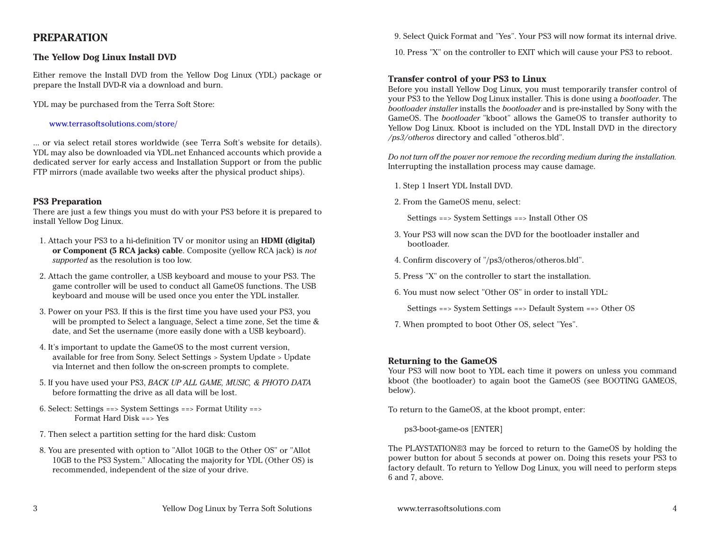### **PREPARATION**

#### **The Yellow Dog Linux Install DVD**

Either remove the Install DVD from the Yellow Dog Linux (YDL) package or prepare the Install DVD-R via a download and burn.

YDL may be purchased from the Terra Soft Store:

#### www.terrasoftsolutions.com/store/

... or via select retail stores worldwide (see Terra Soft's website for details). YDL may also be downloaded via YDL.net Enhanced accounts which provide a dedicated server for early access and Installation Support or from the public FTP mirrors (made available two weeks after the physical product ships).

#### **PS3 Preparation**

There are just a few things you must do with your PS3 before it is prepared to install Yellow Dog Linux.

- 1. Attach your PS3 to a hi-definition TV or monitor using an **HDMI (digital) or Component (5 RCA jacks) cable**. Composite (yellow RCA jack) is *not supported* as the resolution is too low.
- 2. Attach the game controller, a USB keyboard and mouse to your PS3. The game controller will be used to conduct all GameOS functions. The USB keyboard and mouse will be used once you enter the YDL installer.
- 3. Power on your PS3. If this is the first time you have used your PS3, you will be prompted to Select a language, Select a time zone, Set the time & date, and Set the username (more easily done with a USB keyboard).
- 4. It's important to update the GameOS to the most current version, available for free from Sony. Select Settings > System Update > Update via Internet and then follow the on-screen prompts to complete.
- 5. If you have used your PS3, *BACK UP ALL GAME, MUSIC, & PHOTO DATA* before formatting the drive as all data will be lost.
- 6. Select: Settings ==> System Settings ==> Format Utility ==> Format Hard Disk ==> Yes
- 7. Then select a partition setting for the hard disk: Custom
- 8. You are presented with option to "Allot 10GB to the Other OS" or "Allot 10GB to the PS3 System." Allocating the majority for YDL (Other OS) is recommended, independent of the size of your drive.

9. Select Quick Format and "Yes". Your PS3 will now format its internal drive.

10. Press "X" on the controller to EXIT which will cause your PS3 to reboot.

#### **Transfer control of your PS3 to Linux**

Before you install Yellow Dog Linux, you must temporarily transfer control of your PS3 to the Yellow Dog Linux installer. This is done using a *bootloader*. The *bootloader installer* installs the *bootloader* and is pre-installed by Sony with the GameOS. The *bootloader* "kboot" allows the GameOS to transfer authority to Yellow Dog Linux. Kboot is included on the YDL Install DVD in the directory */ps3/otheros* directory and called "otheros.bld".

*Do not turn off the power nor remove the recording medium during the installation.* Interrupting the installation process may cause damage.

- 1. Step 1 Insert YDL Install DVD.
- 2. From the GameOS menu, select:

Settings ==> System Settings ==> Install Other OS

- 3. Your PS3 will now scan the DVD for the bootloader installer and bootloader.
- 4. Confirm discovery of "/ps3/otheros/otheros.bld".
- 5. Press "X" on the controller to start the installation.
- 6. You must now select "Other OS" in order to install YDL:

Settings ==> System Settings ==> Default System ==> Other OS

7. When prompted to boot Other OS, select "Yes".

#### **Returning to the GameOS**

Your PS3 will now boot to YDL each time it powers on unless you command kboot (the bootloader) to again boot the GameOS (see BOOTING GAMEOS, below).

To return to the GameOS, at the kboot prompt, enter:

ps3-boot-game-os [ENTER]

The PLAYSTATION®3 may be forced to return to the GameOS by holding the power button for about 5 seconds at power on. Doing this resets your PS3 to factory default. To return to Yellow Dog Linux, you will need to perform steps 6 and 7, above.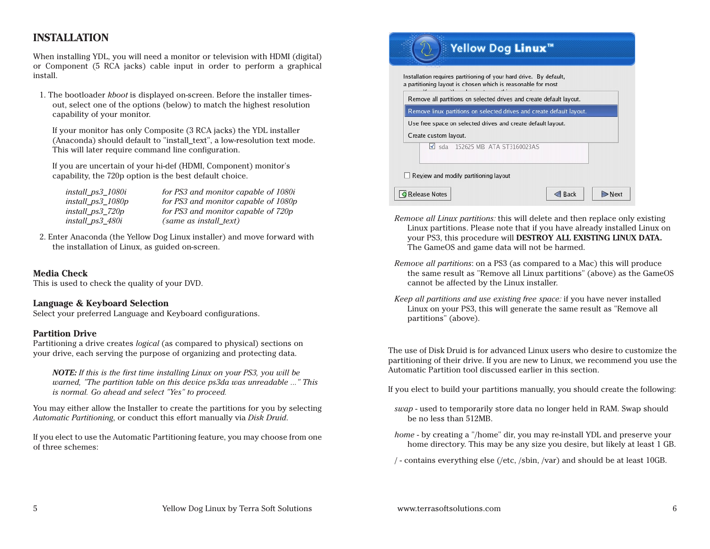# **INSTALLATION**

When installing YDL, you will need a monitor or television with HDMI (digital) or Component (5 RCA jacks) cable input in order to perform a graphical install.

1. The bootloader *kboot* is displayed on-screen. Before the installer timesout, select one of the options (below) to match the highest resolution capability of your monitor.

 If your monitor has only Composite (3 RCA jacks) the YDL installer (Anaconda) should default to "install\_text", a low-resolution text mode. This will later require command line configuration.

 If you are uncertain of your hi-def (HDMI, Component) monitor's capability, the 720p option is the best default choice.

| install_ps3_1080i    | for PS3 and monitor capable of 1080i |
|----------------------|--------------------------------------|
| install_ $ps3_1080p$ | for PS3 and monitor capable of 1080p |
| install_ $ps3_720p$  | for PS3 and monitor capable of 720p  |
| install_ps3_480i     | (same as install_text)               |

2. Enter Anaconda (the Yellow Dog Linux installer) and move forward with the installation of Linux, as guided on-screen.

#### **Media Check**

This is used to check the quality of your DVD.

#### **Language & Keyboard Selection**

Select your preferred Language and Keyboard configurations.

#### **Partition Drive**

Partitioning a drive creates *logical* (as compared to physical) sections on your drive, each serving the purpose of organizing and protecting data.

*NOTE: If this is the first time installing Linux on your PS3, you will be warned, "The partition table on this device ps3da was unreadable ..." This is normal. Go ahead and select "Yes" to proceed.*

You may either allow the Installer to create the partitions for you by selecting *Automatic Partitioning*, or conduct this effort manually via *Disk Druid*.

If you elect to use the Automatic Partitioning feature, you may choose from one of three schemes:

|                       | Installation requires partitioning of your hard drive. By default,<br>a partitioning layout is chosen which is reasonable for most |  |
|-----------------------|------------------------------------------------------------------------------------------------------------------------------------|--|
|                       | Remove all partitions on selected drives and create default layout.                                                                |  |
|                       | Remove linux partitions on selected drives and create default layout.                                                              |  |
| Create custom layout. | Use free space on selected drives and create default layout.                                                                       |  |
|                       | Sda 152625 MB ATA ST3160023AS                                                                                                      |  |
|                       |                                                                                                                                    |  |

- *Remove all Linux partitions:* this will delete and then replace only existing Linux partitions. Please note that if you have already installed Linux on your PS3, this procedure will **DESTROY ALL EXISTING LINUX DATA.**  The GameOS and game data will not be harmed.
- *Remove all partitions*: on a PS3 (as compared to a Mac) this will produce the same result as "Remove all Linux partitions" (above) as the GameOS cannot be affected by the Linux installer.
- *Keep all partitions and use existing free space:* if you have never installed Linux on your PS3, this will generate the same result as "Remove all partitions" (above).

The use of Disk Druid is for advanced Linux users who desire to customize the partitioning of their drive. If you are new to Linux, we recommend you use the Automatic Partition tool discussed earlier in this section.

If you elect to build your partitions manually, you should create the following:

- *swap* used to temporarily store data no longer held in RAM. Swap should be no less than 512MB.
- *home* by creating a "/home" dir, you may re-install YDL and preserve your home directory. This may be any size you desire, but likely at least 1 GB.

/ - contains everything else (/etc, /sbin, /var) and should be at least 10GB.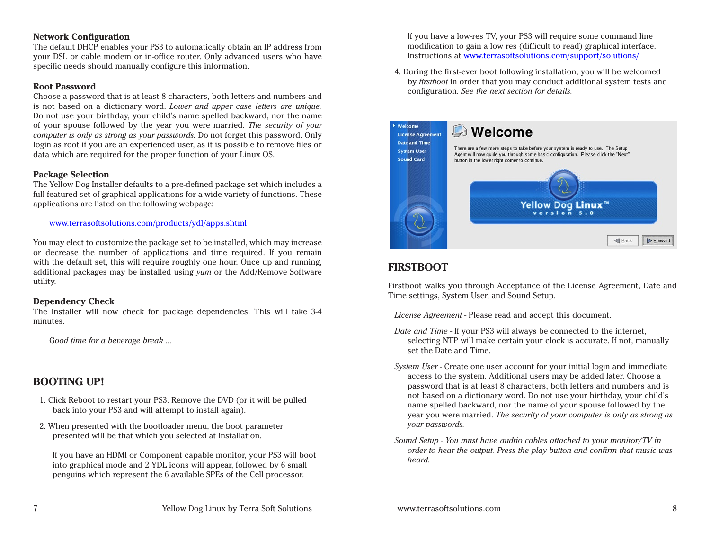#### **Network Configuration**

The default DHCP enables your PS3 to automatically obtain an IP address from your DSL or cable modem or in-office router. Only advanced users who have specific needs should manually configure this information.

#### **Root Password**

Choose a password that is at least 8 characters, both letters and numbers and is not based on a dictionary word. *Lower and upper case letters are unique.*  Do not use your birthday, your child's name spelled backward, nor the name of your spouse followed by the year you were married. *The security of your computer is only as strong as your passwords.* Do not forget this password. Only login as root if you are an experienced user, as it is possible to remove files or data which are required for the proper function of your Linux OS.

#### **Package Selection**

The Yellow Dog Installer defaults to a pre-defined package set which includes a full-featured set of graphical applications for a wide variety of functions. These applications are listed on the following webpage:

#### www.terrasoftsolutions.com/products/ydl/apps.shtml

You may elect to customize the package set to be installed, which may increase or decrease the number of applications and time required. If you remain with the default set, this will require roughly one hour. Once up and running, additional packages may be installed using *yum* or the Add/Remove Software utility.

#### **Dependency Check**

The Installer will now check for package dependencies. This will take 3-4 minutes.

G*ood time for a beverage break ...*

### **BOOTING UP!**

- 1. Click Reboot to restart your PS3. Remove the DVD (or it will be pulled back into your PS3 and will attempt to install again).
- 2. When presented with the bootloader menu, the boot parameter presented will be that which you selected at installation.

If you have an HDMI or Component capable monitor, your PS3 will boot into graphical mode and 2 YDL icons will appear, followed by 6 small penguins which represent the 6 available SPEs of the Cell processor.

If you have a low-res TV, your PS3 will require some command line modification to gain a low res (difficult to read) graphical interface. Instructions at www.terrasoftsolutions.com/support/solutions/

4. During the first-ever boot following installation, you will be welcomed by *firstboot* in order that you may conduct additional system tests and configuration. *See the next section for details.*



# **FIRSTBOOT**

Firstboot walks you through Acceptance of the License Agreement, Date and Time settings, System User, and Sound Setup.

*License Agreement* - Please read and accept this document.

- *Date and Time* If your PS3 will always be connected to the internet, selecting NTP will make certain your clock is accurate. If not, manually set the Date and Time.
- *System User* Create one user account for your initial login and immediate access to the system. Additional users may be added later. Choose a password that is at least 8 characters, both letters and numbers and is not based on a dictionary word. Do not use your birthday, your child's name spelled backward, nor the name of your spouse followed by the year you were married. *The security of your computer is only as strong as your passwords.*
- *Sound Setup You must have audtio cables attached to your monitor/TV in order to hear the output. Press the play button and confirm that music was heard.*